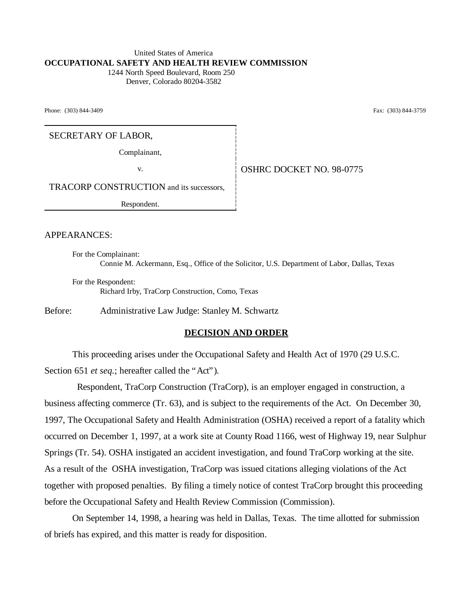#### United States of America **OCCUPATIONAL SAFETY AND HEALTH REVIEW COMMISSION** 1244 North Speed Boulevard, Room 250

Denver, Colorado 80204-3582

Phone: (303) 844-3409 Fax: (303) 844-3759

SECRETARY OF LABOR,

Complainant,

v. Same **OSHRC DOCKET NO. 98-0775** 

TRACORP CONSTRUCTION and its successors,

Respondent.

APPEARANCES:

For the Complainant: Connie M. Ackermann, Esq., Office of the Solicitor, U.S. Department of Labor, Dallas, Texas

For the Respondent: Richard Irby, TraCorp Construction, Como, Texas

Before: Administrative Law Judge: Stanley M. Schwartz

#### **DECISION AND ORDER**

This proceeding arises under the Occupational Safety and Health Act of 1970 (29 U.S.C. Section 651 *et seq.*; hereafter called the "Act").

 Respondent, TraCorp Construction (TraCorp), is an employer engaged in construction, a business affecting commerce (Tr. 63), and is subject to the requirements of the Act. On December 30, 1997, The Occupational Safety and Health Administration (OSHA) received a report of a fatality which occurred on December 1, 1997, at a work site at County Road 1166, west of Highway 19, near Sulphur Springs (Tr. 54). OSHA instigated an accident investigation, and found TraCorp working at the site. As a result of the OSHA investigation, TraCorp was issued citations alleging violations of the Act together with proposed penalties. By filing a timely notice of contest TraCorp brought this proceeding before the Occupational Safety and Health Review Commission (Commission).

On September 14, 1998, a hearing was held in Dallas, Texas. The time allotted for submission of briefs has expired, and this matter is ready for disposition.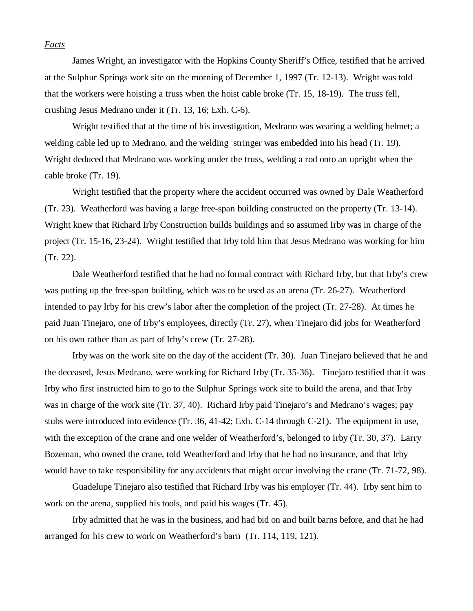#### *Facts*

James Wright, an investigator with the Hopkins County Sheriff's Office, testified that he arrived at the Sulphur Springs work site on the morning of December 1, 1997 (Tr. 12-13). Wright was told that the workers were hoisting a truss when the hoist cable broke (Tr. 15, 18-19). The truss fell, crushing Jesus Medrano under it (Tr. 13, 16; Exh. C-6).

Wright testified that at the time of his investigation, Medrano was wearing a welding helmet; a welding cable led up to Medrano, and the welding stringer was embedded into his head (Tr. 19). Wright deduced that Medrano was working under the truss, welding a rod onto an upright when the cable broke (Tr. 19).

Wright testified that the property where the accident occurred was owned by Dale Weatherford (Tr. 23). Weatherford was having a large free-span building constructed on the property (Tr. 13-14). Wright knew that Richard Irby Construction builds buildings and so assumed Irby was in charge of the project (Tr. 15-16, 23-24). Wright testified that Irby told him that Jesus Medrano was working for him (Tr. 22).

 Dale Weatherford testified that he had no formal contract with Richard Irby, but that Irby's crew was putting up the free-span building, which was to be used as an arena (Tr. 26-27). Weatherford intended to pay Irby for his crew's labor after the completion of the project (Tr. 27-28). At times he paid Juan Tinejaro, one of Irby's employees, directly (Tr. 27), when Tinejaro did jobs for Weatherford on his own rather than as part of Irby's crew (Tr. 27-28).

Irby was on the work site on the day of the accident (Tr. 30). Juan Tinejaro believed that he and the deceased, Jesus Medrano, were working for Richard Irby (Tr. 35-36). Tinejaro testified that it was Irby who first instructed him to go to the Sulphur Springs work site to build the arena, and that Irby was in charge of the work site (Tr. 37, 40). Richard Irby paid Tinejaro's and Medrano's wages; pay stubs were introduced into evidence (Tr. 36, 41-42; Exh. C-14 through C-21). The equipment in use, with the exception of the crane and one welder of Weatherford's, belonged to Irby (Tr. 30, 37). Larry Bozeman, who owned the crane, told Weatherford and Irby that he had no insurance, and that Irby would have to take responsibility for any accidents that might occur involving the crane (Tr. 71-72, 98).

Guadelupe Tinejaro also testified that Richard Irby was his employer (Tr. 44). Irby sent him to work on the arena, supplied his tools, and paid his wages (Tr. 45).

Irby admitted that he was in the business, and had bid on and built barns before, and that he had arranged for his crew to work on Weatherford's barn (Tr. 114, 119, 121).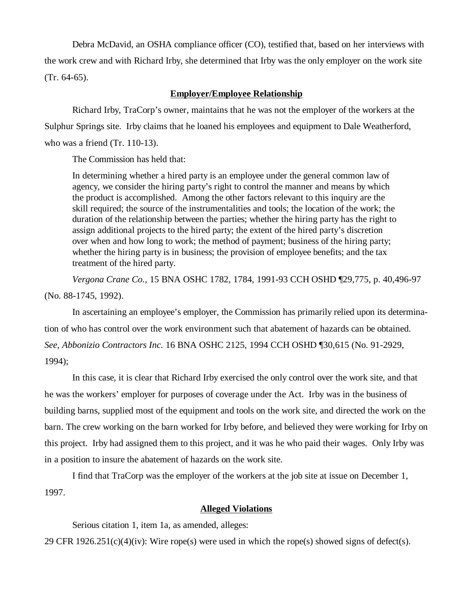Debra McDavid, an OSHA compliance officer (CO), testified that, based on her interviews with the work crew and with Richard Irby, she determined that Irby was the only employer on the work site (Tr. 64-65).

## **Employer/Employee Relationship**

Richard Irby, TraCorp's owner, maintains that he was not the employer of the workers at the Sulphur Springs site. Irby claims that he loaned his employees and equipment to Dale Weatherford, who was a friend (Tr. 110-13).

The Commission has held that:

In determining whether a hired party is an employee under the general common law of agency, we consider the hiring party's right to control the manner and means by which the product is accomplished. Among the other factors relevant to this inquiry are the skill required; the source of the instrumentalities and tools; the location of the work; the duration of the relationship between the parties; whether the hiring party has the right to assign additional projects to the hired party; the extent of the hired party's discretion over when and how long to work; the method of payment; business of the hiring party; whether the hiring party is in business; the provision of employee benefits; and the tax treatment of the hired party.

*Vergona Crane Co.,* 15 BNA OSHC 1782, 1784, 1991-93 CCH OSHD ¶29,775, p. 40,496-97 (No. 88-1745, 1992).

In ascertaining an employee's employer, the Commission has primarily relied upon its determination of who has control over the work environment such that abatement of hazards can be obtained. *See, Abbonizio Contractors Inc.* 16 BNA OSHC 2125, 1994 CCH OSHD ¶30,615 (No. 91-2929, 1994);

In this case, it is clear that Richard Irby exercised the only control over the work site, and that he was the workers' employer for purposes of coverage under the Act. Irby was in the business of building barns, supplied most of the equipment and tools on the work site, and directed the work on the barn. The crew working on the barn worked for Irby before, and believed they were working for Irby on this project. Irby had assigned them to this project, and it was he who paid their wages. Only Irby was in a position to insure the abatement of hazards on the work site.

I find that TraCorp was the employer of the workers at the job site at issue on December 1, 1997.

## **Alleged Violations**

Serious citation 1, item 1a, as amended, alleges:

29 CFR  $1926.251(c)(4)(iv)$ : Wire rope(s) were used in which the rope(s) showed signs of defect(s).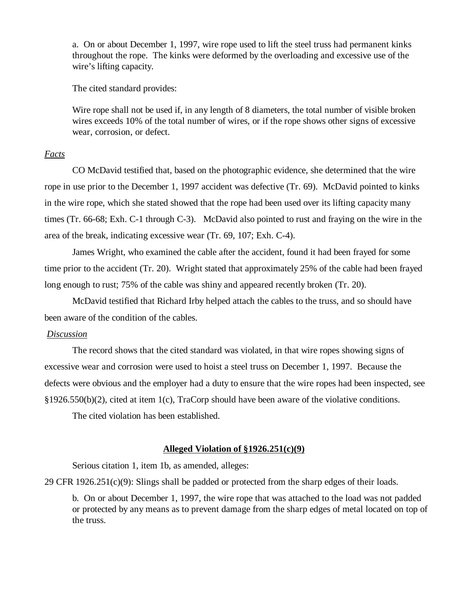a. On or about December 1, 1997, wire rope used to lift the steel truss had permanent kinks throughout the rope. The kinks were deformed by the overloading and excessive use of the wire's lifting capacity.

The cited standard provides:

Wire rope shall not be used if, in any length of 8 diameters, the total number of visible broken wires exceeds 10% of the total number of wires, or if the rope shows other signs of excessive wear, corrosion, or defect.

## *Facts*

CO McDavid testified that, based on the photographic evidence, she determined that the wire rope in use prior to the December 1, 1997 accident was defective (Tr. 69). McDavid pointed to kinks in the wire rope, which she stated showed that the rope had been used over its lifting capacity many times (Tr. 66-68; Exh. C-1 through C-3). McDavid also pointed to rust and fraying on the wire in the area of the break, indicating excessive wear (Tr. 69, 107; Exh. C-4).

James Wright, who examined the cable after the accident, found it had been frayed for some time prior to the accident (Tr. 20). Wright stated that approximately 25% of the cable had been frayed long enough to rust; 75% of the cable was shiny and appeared recently broken (Tr. 20).

McDavid testified that Richard Irby helped attach the cables to the truss, and so should have been aware of the condition of the cables.

#### *Discussion*

The record shows that the cited standard was violated, in that wire ropes showing signs of excessive wear and corrosion were used to hoist a steel truss on December 1, 1997. Because the defects were obvious and the employer had a duty to ensure that the wire ropes had been inspected, see §1926.550(b)(2), cited at item 1(c), TraCorp should have been aware of the violative conditions.

The cited violation has been established.

### **Alleged Violation of §1926.251(c)(9)**

Serious citation 1, item 1b, as amended, alleges:

29 CFR 1926.251(c)(9): Slings shall be padded or protected from the sharp edges of their loads.

b. On or about December 1, 1997, the wire rope that was attached to the load was not padded or protected by any means as to prevent damage from the sharp edges of metal located on top of the truss.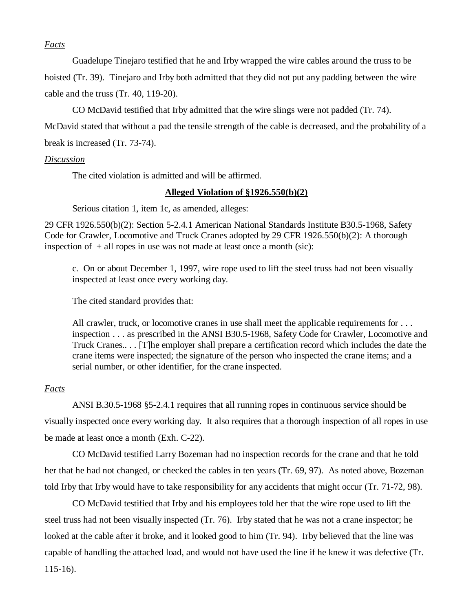## *Facts*

Guadelupe Tinejaro testified that he and Irby wrapped the wire cables around the truss to be

hoisted (Tr. 39). Tinejaro and Irby both admitted that they did not put any padding between the wire cable and the truss (Tr. 40, 119-20).

CO McDavid testified that Irby admitted that the wire slings were not padded (Tr. 74).

McDavid stated that without a pad the tensile strength of the cable is decreased, and the probability of a break is increased (Tr. 73-74).

## *Discussion*

The cited violation is admitted and will be affirmed.

## **Alleged Violation of §1926.550(b)(2)**

Serious citation 1, item 1c, as amended, alleges:

29 CFR 1926.550(b)(2): Section 5-2.4.1 American National Standards Institute B30.5-1968, Safety Code for Crawler, Locomotive and Truck Cranes adopted by 29 CFR 1926.550(b)(2): A thorough inspection of  $+$  all ropes in use was not made at least once a month (sic):

c. On or about December 1, 1997, wire rope used to lift the steel truss had not been visually inspected at least once every working day.

The cited standard provides that:

All crawler, truck, or locomotive cranes in use shall meet the applicable requirements for . . . inspection . . . as prescribed in the ANSI B30.5-1968, Safety Code for Crawler, Locomotive and Truck Cranes.. . . [T]he employer shall prepare a certification record which includes the date the crane items were inspected; the signature of the person who inspected the crane items; and a serial number, or other identifier, for the crane inspected.

## *Facts*

ANSI B.30.5-1968 §5-2.4.1 requires that all running ropes in continuous service should be visually inspected once every working day. It also requires that a thorough inspection of all ropes in use be made at least once a month (Exh. C-22).

CO McDavid testified Larry Bozeman had no inspection records for the crane and that he told her that he had not changed, or checked the cables in ten years (Tr. 69, 97). As noted above, Bozeman told Irby that Irby would have to take responsibility for any accidents that might occur (Tr. 71-72, 98).

 CO McDavid testified that Irby and his employees told her that the wire rope used to lift the steel truss had not been visually inspected (Tr. 76). Irby stated that he was not a crane inspector; he looked at the cable after it broke, and it looked good to him (Tr. 94). Irby believed that the line was capable of handling the attached load, and would not have used the line if he knew it was defective (Tr. 115-16).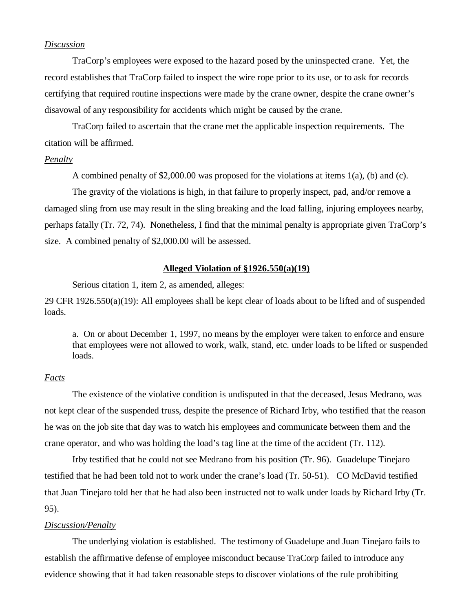## *Discussion*

TraCorp's employees were exposed to the hazard posed by the uninspected crane. Yet, the record establishes that TraCorp failed to inspect the wire rope prior to its use, or to ask for records certifying that required routine inspections were made by the crane owner, despite the crane owner's disavowal of any responsibility for accidents which might be caused by the crane.

TraCorp failed to ascertain that the crane met the applicable inspection requirements. The citation will be affirmed.

#### *Penalty*

A combined penalty of \$2,000.00 was proposed for the violations at items 1(a), (b) and (c).

The gravity of the violations is high, in that failure to properly inspect, pad, and/or remove a damaged sling from use may result in the sling breaking and the load falling, injuring employees nearby, perhaps fatally (Tr. 72, 74). Nonetheless, I find that the minimal penalty is appropriate given TraCorp's size. A combined penalty of \$2,000.00 will be assessed.

## **Alleged Violation of §1926.550(a)(19)**

Serious citation 1, item 2, as amended, alleges:

29 CFR 1926.550(a)(19): All employees shall be kept clear of loads about to be lifted and of suspended loads.

a. On or about December 1, 1997, no means by the employer were taken to enforce and ensure that employees were not allowed to work, walk, stand, etc. under loads to be lifted or suspended loads.

### *Facts*

The existence of the violative condition is undisputed in that the deceased, Jesus Medrano, was not kept clear of the suspended truss, despite the presence of Richard Irby, who testified that the reason he was on the job site that day was to watch his employees and communicate between them and the crane operator, and who was holding the load's tag line at the time of the accident (Tr. 112).

Irby testified that he could not see Medrano from his position (Tr. 96). Guadelupe Tinejaro testified that he had been told not to work under the crane's load (Tr. 50-51). CO McDavid testified that Juan Tinejaro told her that he had also been instructed not to walk under loads by Richard Irby (Tr. 95).

#### *Discussion/Penalty*

The underlying violation is established. The testimony of Guadelupe and Juan Tinejaro fails to establish the affirmative defense of employee misconduct because TraCorp failed to introduce any evidence showing that it had taken reasonable steps to discover violations of the rule prohibiting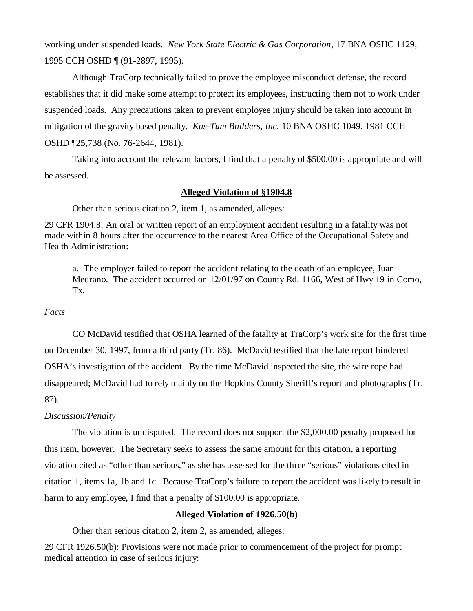working under suspended loads. *New York State Electric & Gas Corporation*, 17 BNA OSHC 1129, 1995 CCH OSHD ¶ (91-2897, 1995).

Although TraCorp technically failed to prove the employee misconduct defense, the record establishes that it did make some attempt to protect its employees, instructing them not to work under suspended loads. Any precautions taken to prevent employee injury should be taken into account in mitigation of the gravity based penalty. *Kus-Tum Builders, Inc.* 10 BNA OSHC 1049, 1981 CCH OSHD ¶25,738 (No. 76-2644, 1981).

Taking into account the relevant factors, I find that a penalty of \$500.00 is appropriate and will be assessed.

### **Alleged Violation of §1904.8**

Other than serious citation 2, item 1, as amended, alleges:

29 CFR 1904.8: An oral or written report of an employment accident resulting in a fatality was not made within 8 hours after the occurrence to the nearest Area Office of the Occupational Safety and Health Administration:

a. The employer failed to report the accident relating to the death of an employee, Juan Medrano. The accident occurred on 12/01/97 on County Rd. 1166, West of Hwy 19 in Como, Tx.

### *Facts*

CO McDavid testified that OSHA learned of the fatality at TraCorp's work site for the first time on December 30, 1997, from a third party (Tr. 86). McDavid testified that the late report hindered OSHA's investigation of the accident. By the time McDavid inspected the site, the wire rope had disappeared; McDavid had to rely mainly on the Hopkins County Sheriff's report and photographs (Tr. 87).

### *Discussion/Penalty*

The violation is undisputed. The record does not support the \$2,000.00 penalty proposed for this item, however. The Secretary seeks to assess the same amount for this citation, a reporting violation cited as "other than serious," as she has assessed for the three "serious" violations cited in citation 1, items 1a, 1b and 1c. Because TraCorp's failure to report the accident was likely to result in harm to any employee, I find that a penalty of \$100.00 is appropriate.

## **Alleged Violation of 1926.50(b)**

Other than serious citation 2, item 2, as amended, alleges:

29 CFR 1926.50(b): Provisions were not made prior to commencement of the project for prompt medical attention in case of serious injury: